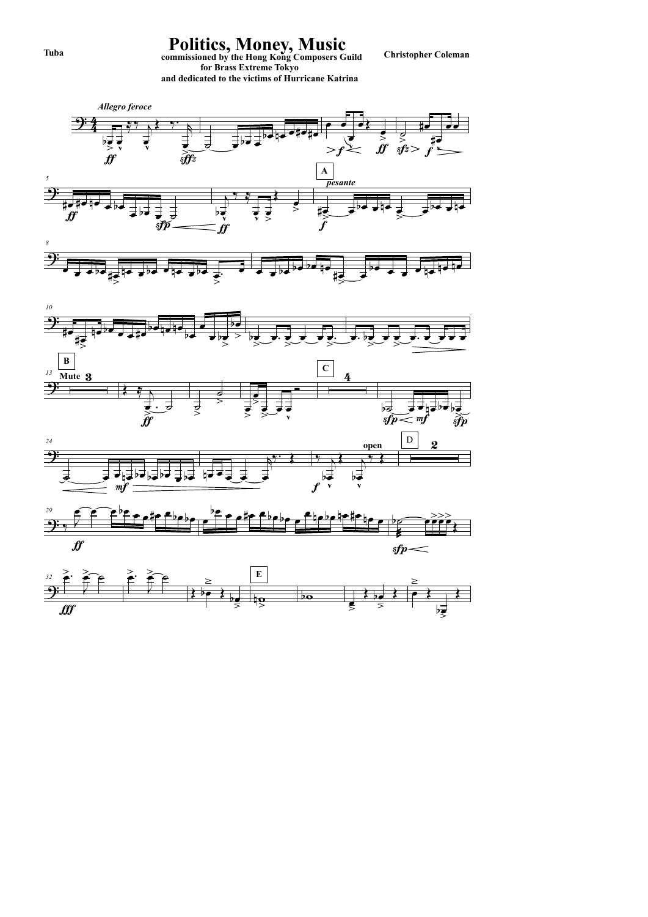



Politics, Money, Music<br>
commissioned by the Hong Kong Composers Guild Christopher Coleman

 for Brass Extreme Tokyo and dedicated to the victims of Hurricane Katrina

Tuba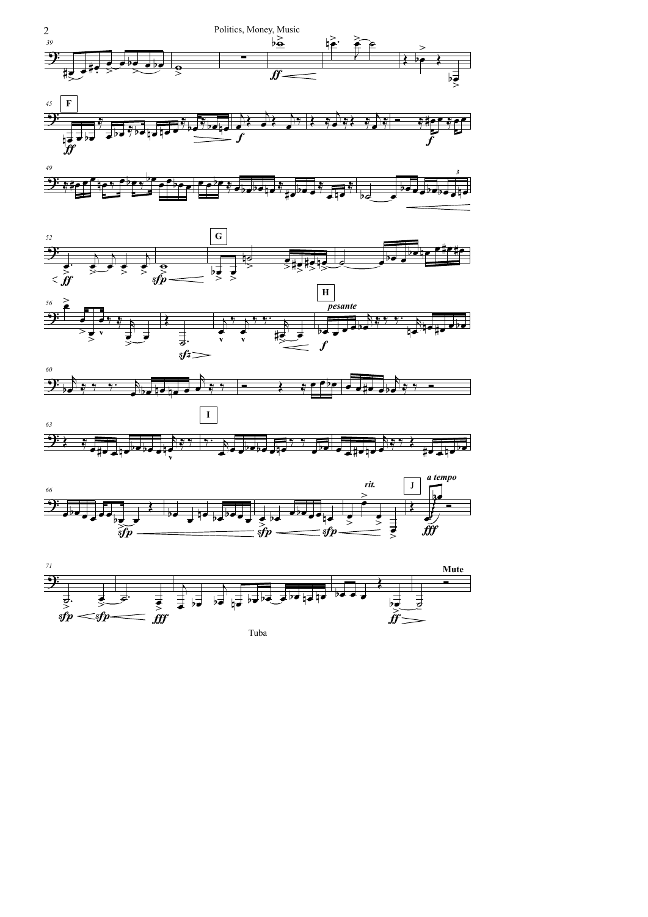